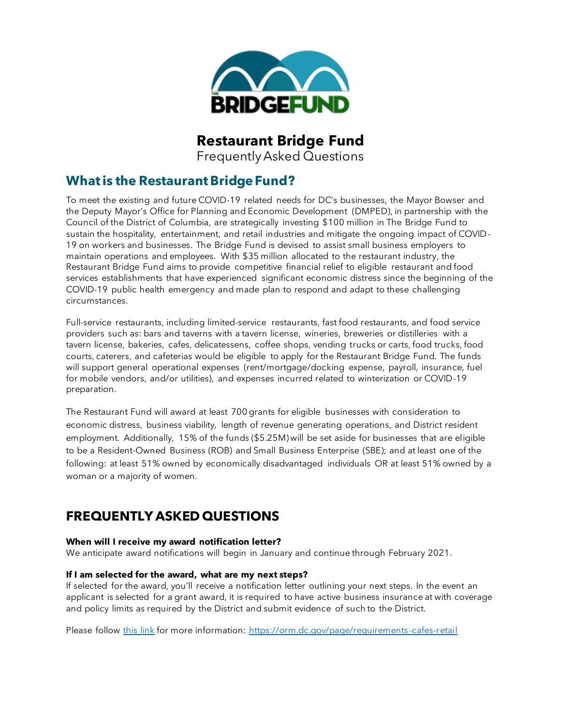

# **Restaurant Bridge Fund**

Frequently Asked Questions

# **What is the Restaurant Bridge Fund?**

To meet the existing and future COVID-19 related needs for DC's businesses, the Mayor Bowser and the Deputy Mayor's Office for Planning and Economic Development (DMPED), in partnership with the Council of the District of Columbia, are strategically investing \$100 million in The Bridge Fund to sustain the hospitality, entertainment, and retail industries and mitigate the ongoing impact of COVID-19 on workers and businesses. The Bridge Fund is devised to assist small business employers to maintain operations and employees. With \$35 million allocated to the restaurant industry, the Restaurant Bridge Fund aims to provide competitive financial relief to eligible restaurant and food services establishments that have experienced significant economic distress since the beginning of the COVID-19 public health emergency and made plan to respond and adapt to these challenging circumstances.

Full-service restaurants, including limited-service restaurants, fast food restaurants, and food service providers such as: bars and taverns with a tavern license, wineries, breweries or distilleries with a tavern license, bakeries, cafes, delicatessens, coffee shops, vending trucks or carts, food trucks, food courts, caterers, and cafeterias would be eligible to apply for the Restaurant Bridge Fund. The funds will support general operational expenses (rent/mortgage/docking expense, payroll, insurance, fuel for mobile vendors, and/or utilities), and expenses incurred related to winterization or COVID-19 preparation.

The Restaurant Fund will award at least 700 grants for eligible businesses with consideration to economic distress, business viability, length of revenue generating operations, and District resident employment. Additionally, 15% of the funds (\$5.25M) will be set aside for businesses that are eligible to be a Resident-Owned Business (ROB) and Small Business Enterprise (SBE); and at least one of the following: at least 51% owned by economically disadvantaged individuals OR at least 51% owned by a woman or a majority of women.

# **FREQUENTLY ASKED QUESTIONS**

# **When will I receive my award notification letter?**

We anticipate award notifications will begin in January and continue through February 2021.

# **If I am selected for the award, what are my next steps?**

If selected for the award, you'll receive a notification letter outlining your next steps. In the event an applicant is selected for a grant award, it is required to have active business insurance at with coverage and policy limits as required by the District and submit evidence of such to the District.

Please follow this link for more information: https://orm.dc.gov/page/requirements -cafes-retail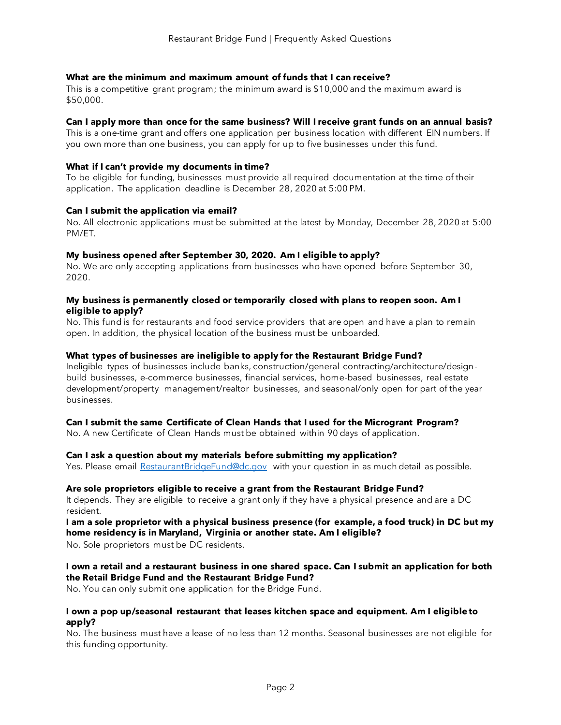# **What are the minimum and maximum amount of funds that I can receive?**

This is a competitive grant program; the minimum award is \$10,000 and the maximum award is \$50,000.

#### **Can I apply more than once for the same business? Will I receive grant funds on an annual basis?**

This is a one-time grant and offers one application per business location with different EIN numbers. If you own more than one business, you can apply for up to five businesses under this fund.

# **What if I can't provide my documents in time?**

To be eligible for funding, businesses must provide all required documentation at the time of their application. The application deadline is December 28, 2020 at 5:00 PM.

# **Can I submit the application via email?**

No. All electronic applications must be submitted at the latest by Monday, December 28, 2020 at 5:00 PM/ET.

# **My business opened after September 30, 2020. Am I eligible to apply?**

No. We are only accepting applications from businesses who have opened before September 30, 2020.

# **My business is permanently closed or temporarily closed with plans to reopen soon. Am I eligible to apply?**

No. This fund is for restaurants and food service providers that are open and have a plan to remain open. In addition, the physical location of the business must be unboarded.

# **What types of businesses are ineligible to apply for the Restaurant Bridge Fund?**

Ineligible types of businesses include banks, construction/general contracting/architecture/designbuild businesses, e-commerce businesses, financial services, home-based businesses, real estate development/property management/realtor businesses, and seasonal/only open for part of the year businesses.

#### **Can I submit the same Certificate of Clean Hands that I used for the Microgrant Program?**

No. A new Certificate of Clean Hands must be obtained within 90 days of application.

# **Can I ask a question about my materials before submitting my application?**

Yes. Please email RestaurantBridgeFund@dc.gov with your question in as much detail as possible.

#### **Are sole proprietors eligible to receive a grant from the Restaurant Bridge Fund?**

It depends. They are eligible to receive a grant only if they have a physical presence and are a DC resident.

# **I am a sole proprietor with a physical business presence (for example, a food truck) in DC but my home residency is in Maryland, Virginia or another state. Am I eligible?**

No. Sole proprietors must be DC residents.

# **I own a retail and a restaurant business in one shared space. Can I submit an application for both the Retail Bridge Fund and the Restaurant Bridge Fund?**

No. You can only submit one application for the Bridge Fund.

#### **I own a pop up/seasonal restaurant that leases kitchen space and equipment. Am I eligible to apply?**

No. The business must have a lease of no less than 12 months. Seasonal businesses are not eligible for this funding opportunity.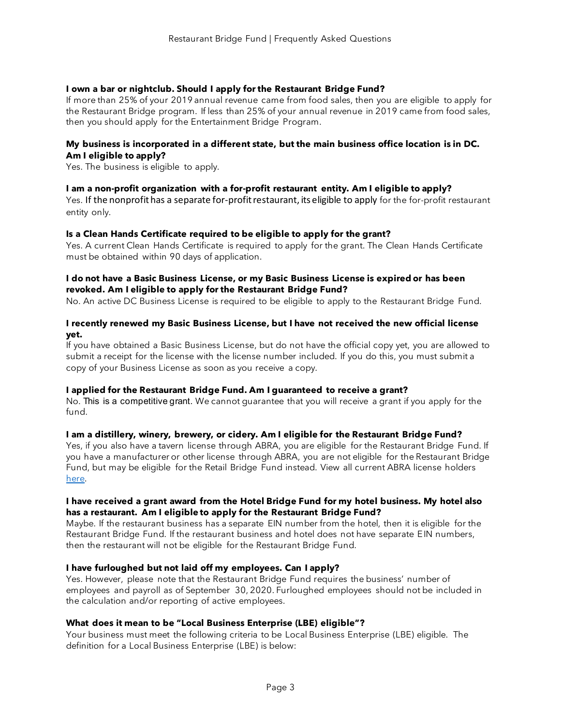# **I own a bar or nightclub. Should I apply for the Restaurant Bridge Fund?**

If more than 25% of your 2019 annual revenue came from food sales, then you are eligible to apply for the Restaurant Bridge program. If less than 25% of your annual revenue in 2019 came from food sales, then you should apply for the Entertainment Bridge Program.

#### **My business is incorporated in a different state, but the main business office location is in DC. Am I eligible to apply?**

Yes. The business is eligible to apply.

#### **I am a non-profit organization with a for-profit restaurant entity. Am I eligible to apply?**

Yes. If the nonprofit has a separate for-profit restaurant, its eligible to apply for the for-profit restaurant entity only.

#### **Is a Clean Hands Certificate required to be eligible to apply for the grant?**

Yes. A current Clean Hands Certificate is required to apply for the grant. The Clean Hands Certificate must be obtained within 90 days of application.

#### **I do not have a Basic Business License, or my Basic Business License is expired or has been revoked. Am I eligible to apply for the Restaurant Bridge Fund?**

No. An active DC Business License is required to be eligible to apply to the Restaurant Bridge Fund.

#### **I recently renewed my Basic Business License, but I have not received the new official license yet.**

If you have obtained a Basic Business License, but do not have the official copy yet, you are allowed to submit a receipt for the license with the license number included. If you do this, you must submit a copy of your Business License as soon as you receive a copy.

#### **I applied for the Restaurant Bridge Fund. Am I guaranteed to receive a grant?**

No. This is a competitive grant. We cannot guarantee that you will receive a grant if you apply for the fund.

#### **I am a distillery, winery, brewery, or cidery. Am I eligible for the Restaurant Bridge Fund?**

Yes, if you also have a tavern license through ABRA, you are eligible for the Restaurant Bridge Fund. If you have a manufacturer or other license through ABRA, you are not eligible for the Restaurant Bridge Fund, but may be eligible for the Retail Bridge Fund instead. View all current ABRA license holders here.

#### **I have received a grant award from the Hotel Bridge Fund for my hotel business. My hotel also has a restaurant. Am I eligible to apply for the Restaurant Bridge Fund?**

Maybe. If the restaurant business has a separate EIN number from the hotel, then it is eligible for the Restaurant Bridge Fund. If the restaurant business and hotel does not have separate EIN numbers, then the restaurant will not be eligible for the Restaurant Bridge Fund.

## **I have furloughed but not laid off my employees. Can I apply?**

Yes. However, please note that the Restaurant Bridge Fund requires the business' number of employees and payroll as of September 30, 2020. Furloughed employees should not be included in the calculation and/or reporting of active employees.

#### **What does it mean to be "Local Business Enterprise (LBE) eligible"?**

Your business must meet the following criteria to be Local Business Enterprise (LBE) eligible. The definition for a Local Business Enterprise (LBE) is below: